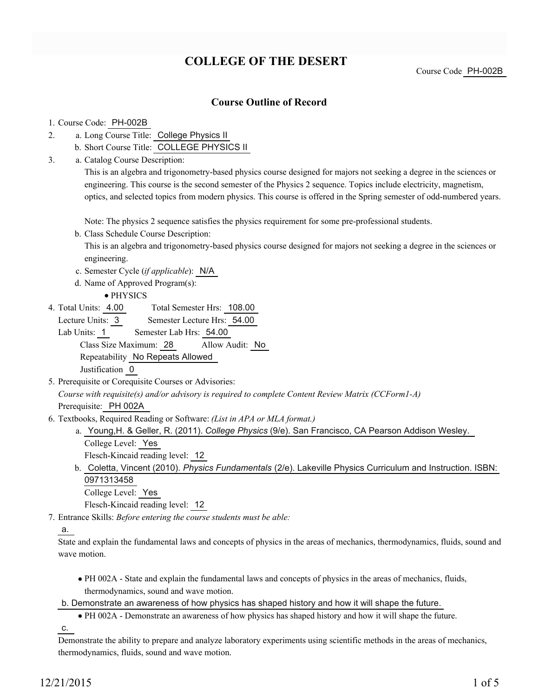# **COLLEGE OF THE DESERT**

Course Code PH-002B

### **Course Outline of Record**

#### 1. Course Code: PH-002B

- a. Long Course Title: College Physics II 2.
	- b. Short Course Title: COLLEGE PHYSICS II
- Catalog Course Description: a. 3.

This is an algebra and trigonometry-based physics course designed for majors not seeking a degree in the sciences or engineering. This course is the second semester of the Physics 2 sequence. Topics include electricity, magnetism, optics, and selected topics from modern physics. This course is offered in the Spring semester of odd-numbered years.

Note: The physics 2 sequence satisfies the physics requirement for some pre-professional students.

b. Class Schedule Course Description:

This is an algebra and trigonometry-based physics course designed for majors not seeking a degree in the sciences or engineering.

- c. Semester Cycle (*if applicable*): N/A
- d. Name of Approved Program(s):
	- PHYSICS
- Total Semester Hrs: 108.00 4. Total Units: 4.00

Lecture Units: 3 Semester Lecture Hrs: 54.00

Lab Units: 1 Semester Lab Hrs: 54.00 Class Size Maximum: 28 Allow Audit: No Repeatability No Repeats Allowed

Justification 0

5. Prerequisite or Corequisite Courses or Advisories: *Course with requisite(s) and/or advisory is required to complete Content Review Matrix (CCForm1-A)* Prerequisite: PH 002A

- Textbooks, Required Reading or Software: *(List in APA or MLA format.)* 6.
	- a. Young,H. & Geller, R. (2011). *College Physics* (9/e). San Francisco, CA Pearson Addison Wesley.
		- College Level: Yes

Flesch-Kincaid reading level: 12

b. Coletta, Vincent (2010). *Physics Fundamentals* (2/e). Lakeville Physics Curriculum and Instruction. ISBN: 0971313458

College Level: Yes

Flesch-Kincaid reading level: 12

Entrance Skills: *Before entering the course students must be able:* 7.

### a.

State and explain the fundamental laws and concepts of physics in the areas of mechanics, thermodynamics, fluids, sound and wave motion.

PH 002A - State and explain the fundamental laws and concepts of physics in the areas of mechanics, fluids, thermodynamics, sound and wave motion.

b. Demonstrate an awareness of how physics has shaped history and how it will shape the future.

PH 002A - Demonstrate an awareness of how physics has shaped history and how it will shape the future.

c.

Demonstrate the ability to prepare and analyze laboratory experiments using scientific methods in the areas of mechanics, thermodynamics, fluids, sound and wave motion.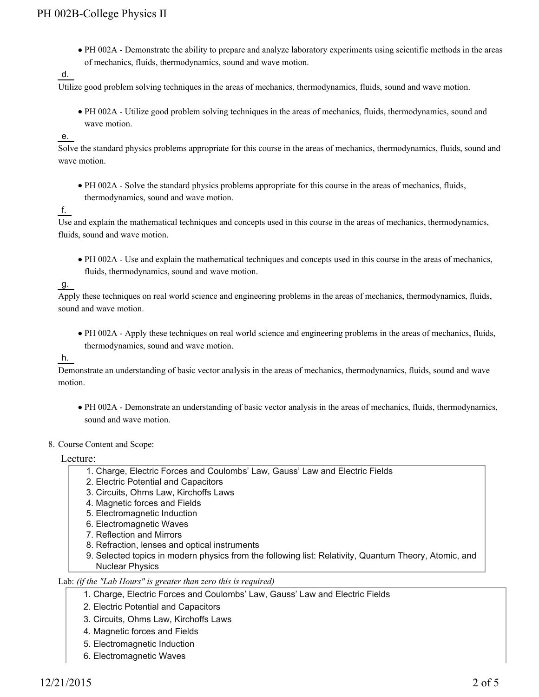PH 002A - Demonstrate the ability to prepare and analyze laboratory experiments using scientific methods in the areas of mechanics, fluids, thermodynamics, sound and wave motion.

d.

Utilize good problem solving techniques in the areas of mechanics, thermodynamics, fluids, sound and wave motion.

PH 002A - Utilize good problem solving techniques in the areas of mechanics, fluids, thermodynamics, sound and wave motion.

e.

Solve the standard physics problems appropriate for this course in the areas of mechanics, thermodynamics, fluids, sound and wave motion.

PH 002A - Solve the standard physics problems appropriate for this course in the areas of mechanics, fluids, thermodynamics, sound and wave motion.

f.

Use and explain the mathematical techniques and concepts used in this course in the areas of mechanics, thermodynamics, fluids, sound and wave motion.

PH 002A - Use and explain the mathematical techniques and concepts used in this course in the areas of mechanics, fluids, thermodynamics, sound and wave motion.

g.

Apply these techniques on real world science and engineering problems in the areas of mechanics, thermodynamics, fluids, sound and wave motion.

PH 002A - Apply these techniques on real world science and engineering problems in the areas of mechanics, fluids, thermodynamics, sound and wave motion.

h.

Demonstrate an understanding of basic vector analysis in the areas of mechanics, thermodynamics, fluids, sound and wave motion.

- PH 002A Demonstrate an understanding of basic vector analysis in the areas of mechanics, fluids, thermodynamics, sound and wave motion.
- 8. Course Content and Scope:

Lecture:

- 1. Charge, Electric Forces and Coulombs' Law, Gauss' Law and Electric Fields
- 2. Electric Potential and Capacitors
- 3. Circuits, Ohms Law, Kirchoffs Laws
- 4. Magnetic forces and Fields
- 5. Electromagnetic Induction
- 6. Electromagnetic Waves
- 7. Reflection and Mirrors
- 8. Refraction, lenses and optical instruments
- Selected topics in modern physics from the following list: Relativity, Quantum Theory, Atomic, and 9. Nuclear Physics

#### Lab: *(if the "Lab Hours" is greater than zero this is required)*

- 1. Charge, Electric Forces and Coulombs' Law, Gauss' Law and Electric Fields
- 2. Electric Potential and Capacitors
- 3. Circuits, Ohms Law, Kirchoffs Laws
- 4. Magnetic forces and Fields
- 5. Electromagnetic Induction
- 6. Electromagnetic Waves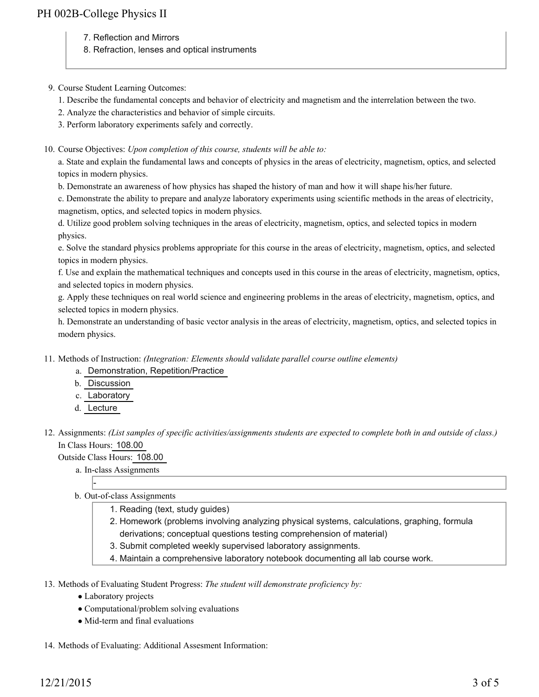- 7. Reflection and Mirrors
- 8. Refraction, lenses and optical instruments

### 9. Course Student Learning Outcomes:

- 1. Describe the fundamental concepts and behavior of electricity and magnetism and the interrelation between the two.
- 2. Analyze the characteristics and behavior of simple circuits.
- 3. Perform laboratory experiments safely and correctly.

### 10. Course Objectives: Upon completion of this course, students will be able to:

a. State and explain the fundamental laws and concepts of physics in the areas of electricity, magnetism, optics, and selected topics in modern physics.

b. Demonstrate an awareness of how physics has shaped the history of man and how it will shape his/her future.

c. Demonstrate the ability to prepare and analyze laboratory experiments using scientific methods in the areas of electricity, magnetism, optics, and selected topics in modern physics.

d. Utilize good problem solving techniques in the areas of electricity, magnetism, optics, and selected topics in modern physics.

e. Solve the standard physics problems appropriate for this course in the areas of electricity, magnetism, optics, and selected topics in modern physics.

f. Use and explain the mathematical techniques and concepts used in this course in the areas of electricity, magnetism, optics, and selected topics in modern physics.

g. Apply these techniques on real world science and engineering problems in the areas of electricity, magnetism, optics, and selected topics in modern physics.

h. Demonstrate an understanding of basic vector analysis in the areas of electricity, magnetism, optics, and selected topics in modern physics.

- Methods of Instruction: *(Integration: Elements should validate parallel course outline elements)* 11.
	- a. Demonstration, Repetition/Practice
	- b. Discussion
	- c. Laboratory
	- d. Lecture

12. Assignments: (List samples of specific activities/assignments students are expected to complete both in and outside of class.) In Class Hours: 108.00

### Outside Class Hours: 108.00

- a. In-class Assignments
- b. Out-of-class Assignments
	- 1. Reading (text, study guides)
		- 2. Homework (problems involving analyzing physical systems, calculations, graphing, formula derivations; conceptual questions testing comprehension of material)
		- 3. Submit completed weekly supervised laboratory assignments.
		- 4. Maintain a comprehensive laboratory notebook documenting all lab course work.

13. Methods of Evaluating Student Progress: The student will demonstrate proficiency by:

- Laboratory projects
- Computational/problem solving evaluations
- Mid-term and final evaluations

14. Methods of Evaluating: Additional Assesment Information: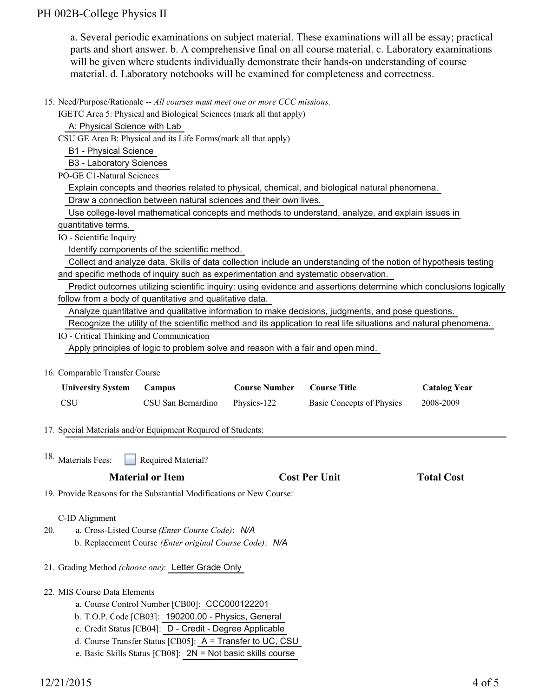## PH 002B-College Physics II

a. Several periodic examinations on subject material. These examinations will all be essay; practical parts and short answer. b. A comprehensive final on all course material. c. Laboratory examinations will be given where students individually demonstrate their hands-on understanding of course material. d. Laboratory notebooks will be examined for completeness and correctness.

15. Need/Purpose/Rationale -- All courses must meet one or more CCC missions.

IGETC Area 5: Physical and Biological Sciences (mark all that apply)

A: Physical Science with Lab

CSU GE Area B: Physical and its Life Forms(mark all that apply)

B1 - Physical Science

B3 - Laboratory Sciences

PO-GE C1-Natural Sciences

Explain concepts and theories related to physical, chemical, and biological natural phenomena.

Draw a connection between natural sciences and their own lives.

 Use college-level mathematical concepts and methods to understand, analyze, and explain issues in quantitative terms.

IO - Scientific Inquiry

Identify components of the scientific method.

 Collect and analyze data. Skills of data collection include an understanding of the notion of hypothesis testing and specific methods of inquiry such as experimentation and systematic observation.

 Predict outcomes utilizing scientific inquiry: using evidence and assertions determine which conclusions logically follow from a body of quantitative and qualitative data.

Analyze quantitative and qualitative information to make decisions, judgments, and pose questions.

Recognize the utility of the scientific method and its application to real life situations and natural phenomena.

IO - Critical Thinking and Communication

Apply principles of logic to problem solve and reason with a fair and open mind.

### 16. Comparable Transfer Course

| <b>University System</b> | Campus             | <b>Course Number</b> | <b>Course Title</b>       | <b>Catalog Year</b> |
|--------------------------|--------------------|----------------------|---------------------------|---------------------|
| - CSU                    | CSU San Bernardino | Physics-122          | Basic Concepts of Physics | 2008-2009           |

17. Special Materials and/or Equipment Required of Students:

Required Material? <sup>18.</sup> Materials Fees:

### **Material or Item Cost Per Unit Total Cost Cost Per Unit Total Cost**

19. Provide Reasons for the Substantial Modifications or New Course:

## C-ID Alignment

- a. Cross-Listed Course *(Enter Course Code)*: *N/A* 20.
	- b. Replacement Course *(Enter original Course Code)*: *N/A*
- 21. Grading Method *(choose one)*: Letter Grade Only

# 22. MIS Course Data Elements

- a. Course Control Number [CB00]: CCC000122201
- b. T.O.P. Code [CB03]: 190200.00 Physics, General
- c. Credit Status [CB04]: D Credit Degree Applicable
- d. Course Transfer Status [CB05]: A = Transfer to UC, CSU
- e. Basic Skills Status [CB08]: 2N = Not basic skills course